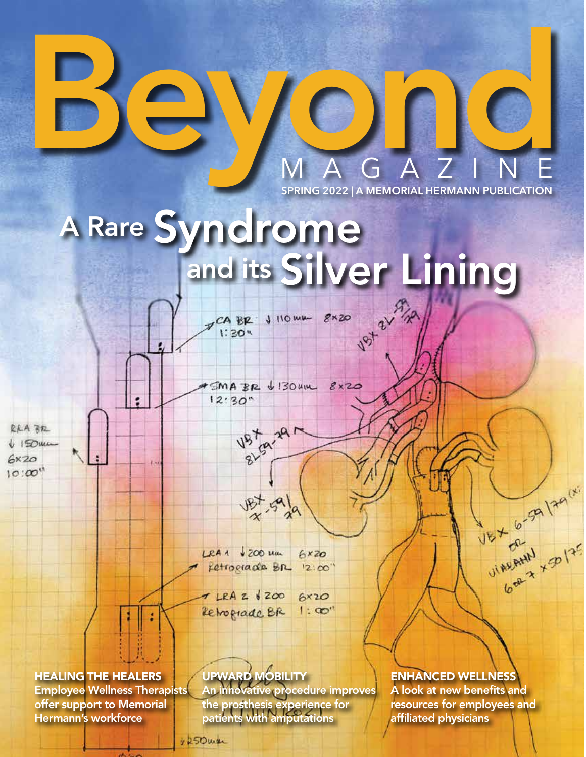

g

d

**SPRING 2022 | A MEMORIAL HERMANN PUBLICATION** MAGAZINE

# A Rare Syndrome<br>and its Silver Lining

CA BR J HOWK 8x20

 $SMAB$  BR  $\psi$  130 um  $g_{XZO}$  $12:30"$ 

 $1:30$   $%$ 

RRA BE  $\sqrt{150}$ uce  $6x20$  $10:00''$ 

 $\frac{187}{x}$   $\frac{69}{x}$ 

**V5t g-297** 

 $LRAA + 200$  Mm  $6xz$ Fetrograde Br  $12.00$ 

 $T LRAZ$   $6200$  $6x20$ Retrograde BR  $1:00$ 

HEALING THE HEALERS Employee Wellness Therapists

offer support to Memorial Hermann's workforce

UPWARD MOBILITY

An innovative procedure improves the prosthesis experience for patients with amputations

ENHANCED WELLNESS

A look at new benefits and resources for employees and affiliated physicians

UNARAHU X 20125

1250war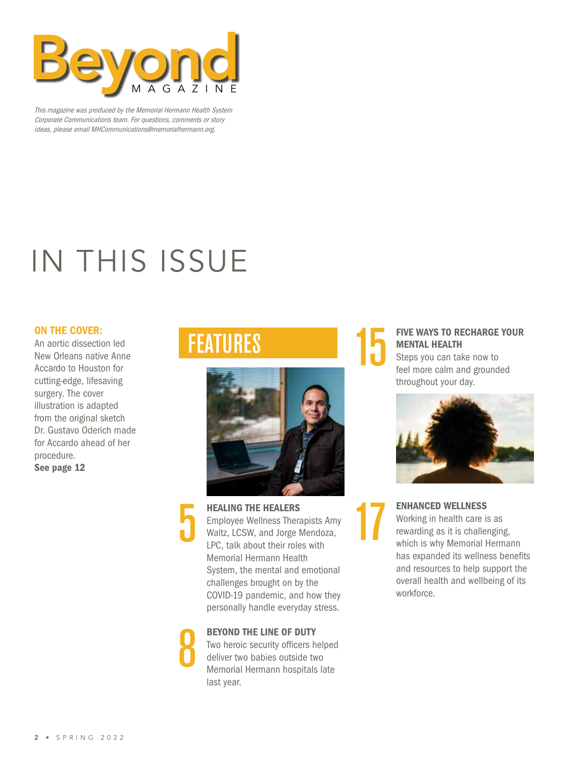

This magazine was produced by the Memorial Hermann Health System Corporate Communications team. For questions, comments or story ideas, please email MHCommunications@memorialhermann.org.

### IN THIS ISSUE

### ON THE COVER:

An aortic dissection led New Orleans native Anne Accardo to Houston for cutting-edge, lifesaving surgery. The cover illustration is adapted from the original sketch Dr. Gustavo Oderich made for Accardo ahead of her procedure. See page 12

### FEATURES



HEALING THE HEALERS Employee Wellness Therapists Amy Waltz, LCSW, and Jorge Mendoza, LPC, talk about their roles with Memorial Hermann Health System, the mental and emotional challenges brought on by the COVID-19 pandemic, and how they personally handle everyday stress.

### BEYOND THE LINE OF DUTY

8

Two heroic security officers helped deliver two babies outside two Memorial Hermann hospitals late last year.

### FIVE WAYS TO RECHARGE YOUR MENTAL HEALTH

Steps you can take now to feel more calm and grounded throughout your day.

15

17



ENHANCED WELLNESS Working in health care is as rewarding as it is challenging, which is why Memorial Hermann has expanded its wellness benefits and resources to help support the overall health and wellbeing of its workforce.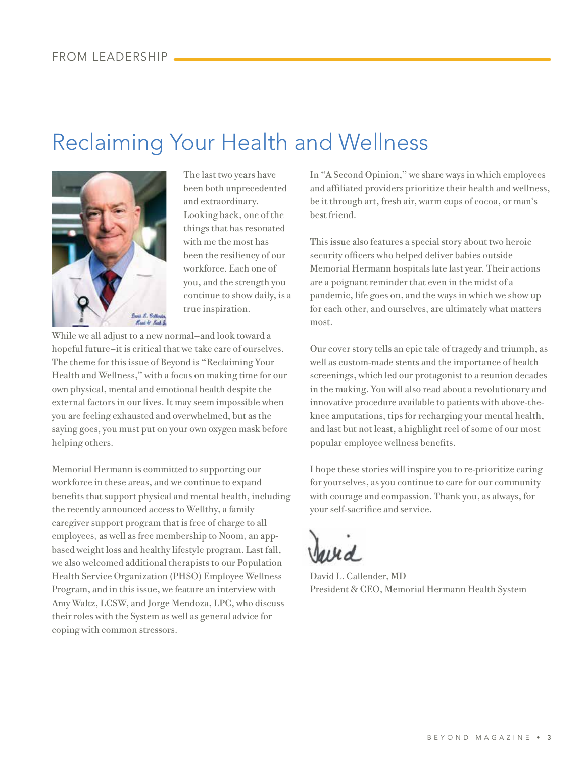### Reclaiming Your Health and Wellness



The last two years have been both unprecedented and extraordinary. Looking back, one of the things that has resonated with me the most has been the resiliency of our workforce. Each one of you, and the strength you continue to show daily, is a true inspiration.

While we all adjust to a new normal—and look toward a hopeful future—it is critical that we take care of ourselves. The theme for this issue of Beyond is "Reclaiming Your Health and Wellness," with a focus on making time for our own physical, mental and emotional health despite the external factors in our lives. It may seem impossible when you are feeling exhausted and overwhelmed, but as the saying goes, you must put on your own oxygen mask before helping others.

Memorial Hermann is committed to supporting our workforce in these areas, and we continue to expand benefits that support physical and mental health, including the recently announced access to Wellthy, a family caregiver support program that is free of charge to all employees, as well as free membership to Noom, an appbased weight loss and healthy lifestyle program. Last fall, we also welcomed additional therapists to our Population Health Service Organization (PHSO) Employee Wellness Program, and in this issue, we feature an interview with Amy Waltz, LCSW, and Jorge Mendoza, LPC, who discuss their roles with the System as well as general advice for coping with common stressors.

In "A Second Opinion," we share ways in which employees and affiliated providers prioritize their health and wellness, be it through art, fresh air, warm cups of cocoa, or man's best friend.

This issue also features a special story about two heroic security officers who helped deliver babies outside Memorial Hermann hospitals late last year. Their actions are a poignant reminder that even in the midst of a pandemic, life goes on, and the ways in which we show up for each other, and ourselves, are ultimately what matters most.

Our cover story tells an epic tale of tragedy and triumph, as well as custom-made stents and the importance of health screenings, which led our protagonist to a reunion decades in the making. You will also read about a revolutionary and innovative procedure available to patients with above-theknee amputations, tips for recharging your mental health, and last but not least, a highlight reel of some of our most popular employee wellness benefits.

I hope these stories will inspire you to re-prioritize caring for yourselves, as you continue to care for our community with courage and compassion. Thank you, as always, for your self-sacrifice and service.

David L. Callender, MD President & CEO, Memorial Hermann Health System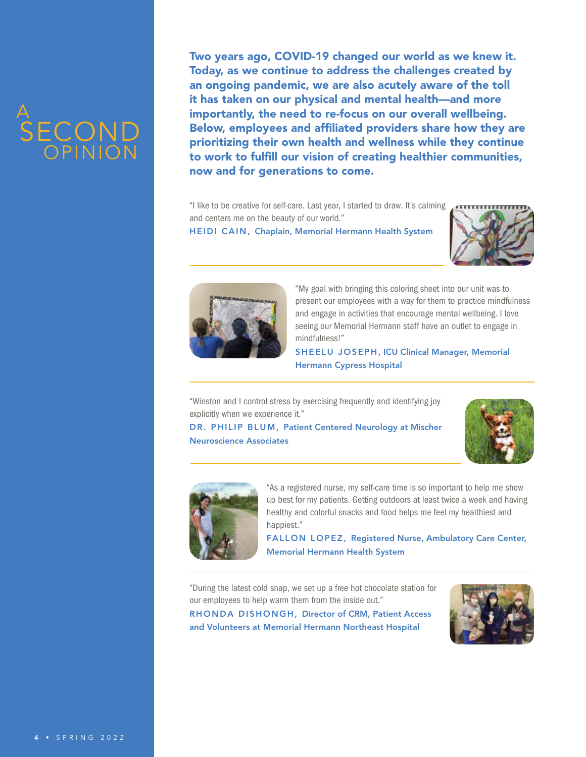### A SECOND **COPINION**

Two years ago, COVID-19 changed our world as we knew it. Today, as we continue to address the challenges created by an ongoing pandemic, we are also acutely aware of the toll it has taken on our physical and mental health—and more importantly, the need to re-focus on our overall wellbeing. Below, employees and affiliated providers share how they are prioritizing their own health and wellness while they continue to work to fulfill our vision of creating healthier communities, now and for generations to come.

"I like to be creative for self-care. Last year, I started to draw. It's calming **CONTILITY INCO THE CONTINETY** and centers me on the beauty of our world."

HEIDI CAIN, Chaplain, Memorial Hermann Health System





"My goal with bringing this coloring sheet into our unit was to present our employees with a way for them to practice mindfulness and engage in activities that encourage mental wellbeing. I love seeing our Memorial Hermann staff have an outlet to engage in mindfulness!"

SHEELU JOSEPH, ICU Clinical Manager, Memorial Hermann Cypress Hospital

"Winston and I control stress by exercising frequently and identifying joy explicitly when we experience it."

DR. PHILIP BLUM, Patient Centered Neurology at Mischer Neuroscience Associates





"As a registered nurse, my self-care time is so important to help me show up best for my patients. Getting outdoors at least twice a week and having healthy and colorful snacks and food helps me feel my healthiest and happiest."

FALLON LOPEZ, Registered Nurse, Ambulatory Care Center, Memorial Hermann Health System

"During the latest cold snap, we set up a free hot chocolate station for our employees to help warm them from the inside out." RHONDA DISHONGH, Director of CRM, Patient Access and Volunteers at Memorial Hermann Northeast Hospital

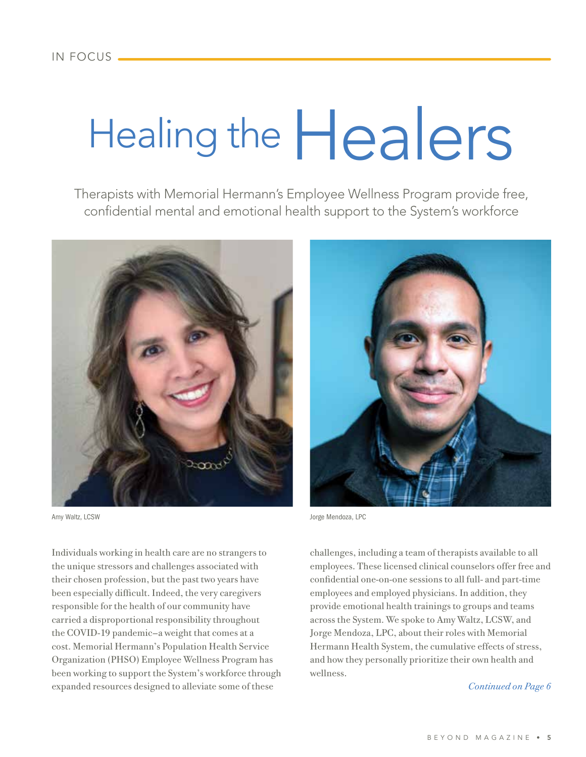# Healing the  $\text{Heals}$

Therapists with Memorial Hermann's Employee Wellness Program provide free, confidential mental and emotional health support to the System's workforce



Individuals working in health care are no strangers to the unique stressors and challenges associated with their chosen profession, but the past two years have been especially difficult. Indeed, the very caregivers responsible for the health of our community have carried a disproportional responsibility throughout the COVID-19 pandemic—a weight that comes at a cost. Memorial Hermann's Population Health Service Organization (PHSO) Employee Wellness Program has been working to support the System's workforce through expanded resources designed to alleviate some of these



Amy Waltz, LCSW Jorge Mendoza, LPC

challenges, including a team of therapists available to all employees. These licensed clinical counselors offer free and confidential one-on-one sessions to all full- and part-time employees and employed physicians. In addition, they provide emotional health trainings to groups and teams across the System. We spoke to Amy Waltz, LCSW, and Jorge Mendoza, LPC, about their roles with Memorial Hermann Health System, the cumulative effects of stress, and how they personally prioritize their own health and wellness.

### *Continued on Page 6*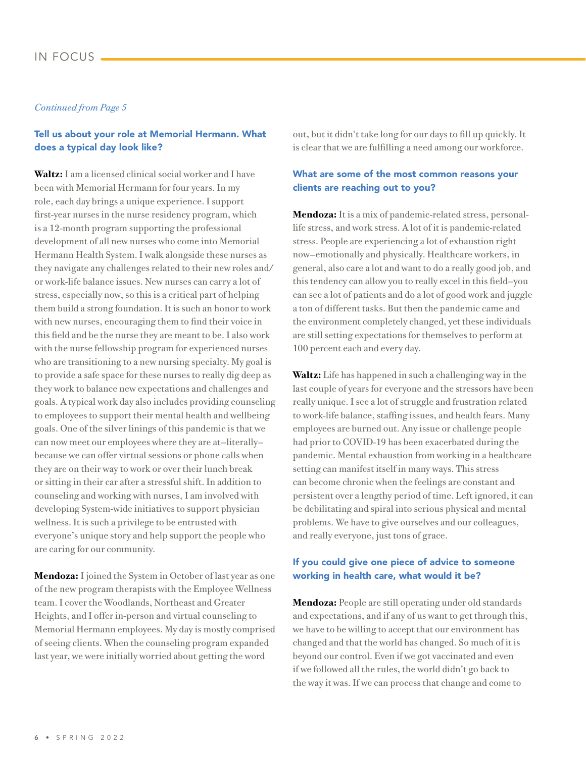### IN FOCUS

### *Continued from Page 5*

### Tell us about your role at Memorial Hermann. What does a typical day look like?

**Waltz:** I am a licensed clinical social worker and I have been with Memorial Hermann for four years. In my role, each day brings a unique experience. I support first-year nurses in the nurse residency program, which is a 12-month program supporting the professional development of all new nurses who come into Memorial Hermann Health System. I walk alongside these nurses as they navigate any challenges related to their new roles and/ or work-life balance issues. New nurses can carry a lot of stress, especially now, so this is a critical part of helping them build a strong foundation. It is such an honor to work with new nurses, encouraging them to find their voice in this field and be the nurse they are meant to be. I also work with the nurse fellowship program for experienced nurses who are transitioning to a new nursing specialty. My goal is to provide a safe space for these nurses to really dig deep as they work to balance new expectations and challenges and goals. A typical work day also includes providing counseling to employees to support their mental health and wellbeing goals. One of the silver linings of this pandemic is that we can now meet our employees where they are at—literally because we can offer virtual sessions or phone calls when they are on their way to work or over their lunch break or sitting in their car after a stressful shift. In addition to counseling and working with nurses, I am involved with developing System-wide initiatives to support physician wellness. It is such a privilege to be entrusted with everyone's unique story and help support the people who are caring for our community.

**Mendoza:** I joined the System in October of last year as one of the new program therapists with the Employee Wellness team. I cover the Woodlands, Northeast and Greater Heights, and I offer in-person and virtual counseling to Memorial Hermann employees. My day is mostly comprised of seeing clients. When the counseling program expanded last year, we were initially worried about getting the word

out, but it didn't take long for our days to fill up quickly. It is clear that we are fulfilling a need among our workforce.

### What are some of the most common reasons your clients are reaching out to you?

**Mendoza:** It is a mix of pandemic-related stress, personallife stress, and work stress. A lot of it is pandemic-related stress. People are experiencing a lot of exhaustion right now—emotionally and physically. Healthcare workers, in general, also care a lot and want to do a really good job, and this tendency can allow you to really excel in this field—you can see a lot of patients and do a lot of good work and juggle a ton of different tasks. But then the pandemic came and the environment completely changed, yet these individuals are still setting expectations for themselves to perform at 100 percent each and every day.

**Waltz:** Life has happened in such a challenging way in the last couple of years for everyone and the stressors have been really unique. I see a lot of struggle and frustration related to work-life balance, staffing issues, and health fears. Many employees are burned out. Any issue or challenge people had prior to COVID-19 has been exacerbated during the pandemic. Mental exhaustion from working in a healthcare setting can manifest itself in many ways. This stress can become chronic when the feelings are constant and persistent over a lengthy period of time. Left ignored, it can be debilitating and spiral into serious physical and mental problems. We have to give ourselves and our colleagues, and really everyone, just tons of grace.

### If you could give one piece of advice to someone working in health care, what would it be?

**Mendoza:** People are still operating under old standards and expectations, and if any of us want to get through this, we have to be willing to accept that our environment has changed and that the world has changed. So much of it is beyond our control. Even if we got vaccinated and even if we followed all the rules, the world didn't go back to the way it was. If we can process that change and come to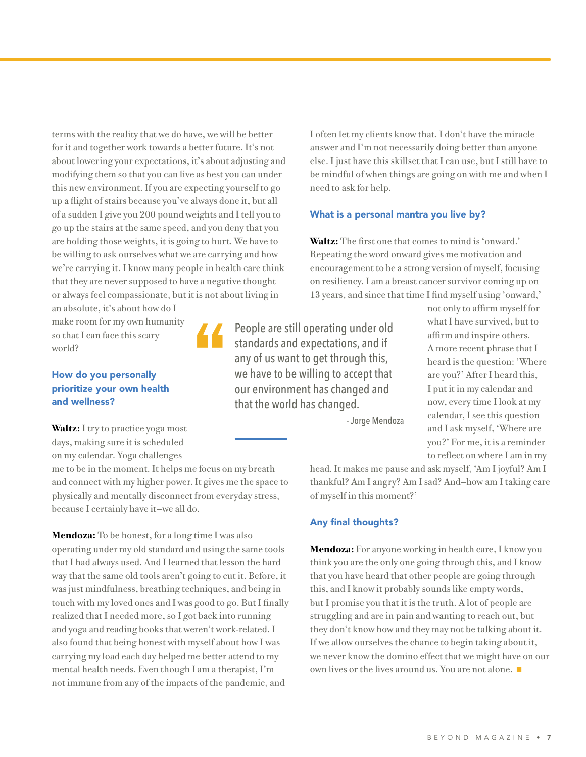terms with the reality that we do have, we will be better for it and together work towards a better future. It's not about lowering your expectations, it's about adjusting and modifying them so that you can live as best you can under this new environment. If you are expecting yourself to go up a flight of stairs because you've always done it, but all of a sudden I give you 200 pound weights and I tell you to go up the stairs at the same speed, and you deny that you are holding those weights, it is going to hurt. We have to be willing to ask ourselves what we are carrying and how we're carrying it. I know many people in health care think that they are never supposed to have a negative thought or always feel compassionate, but it is not about living in an absolute, it's about how do I

make room for my own humanity so that I can face this scary world?

### How do you personally prioritize your own health and wellness?

**Waltz:** I try to practice yoga most days, making sure it is scheduled on my calendar. Yoga challenges

me to be in the moment. It helps me focus on my breath and connect with my higher power. It gives me the space to physically and mentally disconnect from everyday stress, because I certainly have it—we all do.

"

**Mendoza:** To be honest, for a long time I was also operating under my old standard and using the same tools that I had always used. And I learned that lesson the hard way that the same old tools aren't going to cut it. Before, it was just mindfulness, breathing techniques, and being in touch with my loved ones and I was good to go. But I finally realized that I needed more, so I got back into running and yoga and reading books that weren't work-related. I also found that being honest with myself about how I was carrying my load each day helped me better attend to my mental health needs. Even though I am a therapist, I'm not immune from any of the impacts of the pandemic, and

I often let my clients know that. I don't have the miracle answer and I'm not necessarily doing better than anyone else. I just have this skillset that I can use, but I still have to be mindful of when things are going on with me and when I need to ask for help.

### What is a personal mantra you live by?

**Waltz:** The first one that comes to mind is 'onward.' Repeating the word onward gives me motivation and encouragement to be a strong version of myself, focusing on resiliency. I am a breast cancer survivor coming up on 13 years, and since that time I find myself using 'onward,'

People are still operating under old standards and expectations, and if any of us want to get through this, we have to be willing to accept that our environment has changed and that the world has changed.

A more recent phrase that I heard is the question: 'Where are you?' After I heard this, I put it in my calendar and now, every time I look at my calendar, I see this question and I ask myself, 'Where are you?' For me, it is a reminder to reflect on where I am in my

not only to affirm myself for what I have survived, but to affirm and inspire others.

- Jorge Mendoza

head. It makes me pause and ask myself, 'Am I joyful? Am I thankful? Am I angry? Am I sad? And—how am I taking care of myself in this moment?'

#### Any final thoughts?

**Mendoza:** For anyone working in health care, I know you think you are the only one going through this, and I know that you have heard that other people are going through this, and I know it probably sounds like empty words, but I promise you that it is the truth. A lot of people are struggling and are in pain and wanting to reach out, but they don't know how and they may not be talking about it. If we allow ourselves the chance to begin taking about it, we never know the domino effect that we might have on our own lives or the lives around us. You are not alone.  $\blacksquare$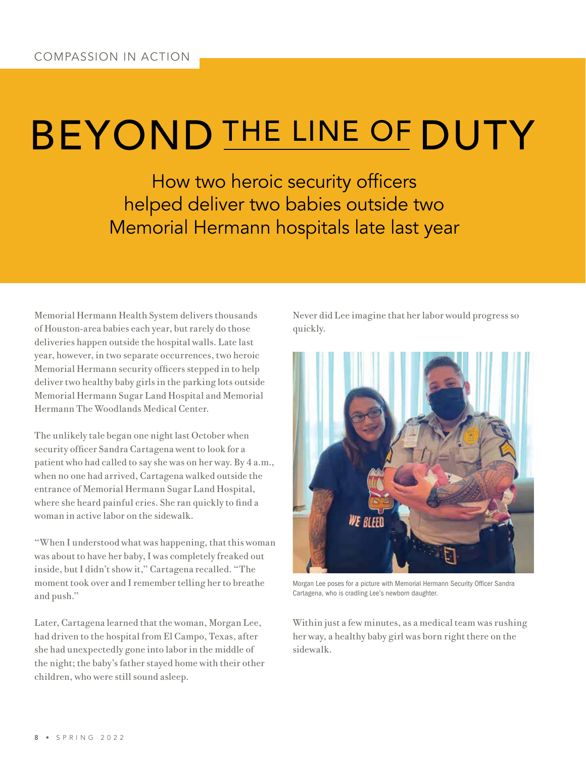### BEYOND THE LINE OF DUTY

How two heroic security officers helped deliver two babies outside two Memorial Hermann hospitals late last year

Memorial Hermann Health System delivers thousands of Houston-area babies each year, but rarely do those deliveries happen outside the hospital walls. Late last year, however, in two separate occurrences, two heroic Memorial Hermann security officers stepped in to help deliver two healthy baby girls in the parking lots outside Memorial Hermann Sugar Land Hospital and Memorial Hermann The Woodlands Medical Center.

The unlikely tale began one night last October when security officer Sandra Cartagena went to look for a patient who had called to say she was on her way. By 4 a.m., when no one had arrived, Cartagena walked outside the entrance of Memorial Hermann Sugar Land Hospital, where she heard painful cries. She ran quickly to find a woman in active labor on the sidewalk.

"When I understood what was happening, that this woman was about to have her baby, I was completely freaked out inside, but I didn't show it," Cartagena recalled. "The moment took over and I remember telling her to breathe and push."

Later, Cartagena learned that the woman, Morgan Lee, had driven to the hospital from El Campo, Texas, after she had unexpectedly gone into labor in the middle of the night; the baby's father stayed home with their other children, who were still sound asleep.

Never did Lee imagine that her labor would progress so quickly.



Morgan Lee poses for a picture with Memorial Hermann Security Officer Sandra Cartagena, who is cradling Lee's newborn daughter.

Within just a few minutes, as a medical team was rushing her way, a healthy baby girl was born right there on the sidewalk.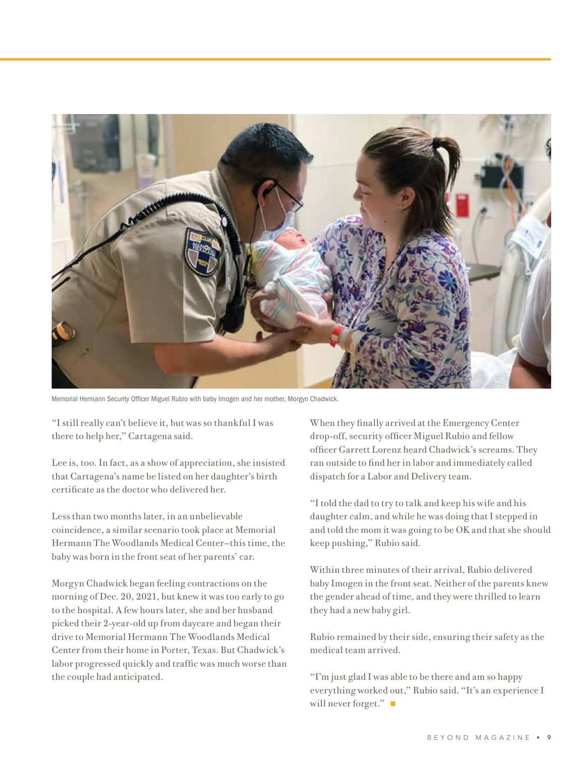

Memorial Hermann Security Officer Miguel Rubio with baby Imogen and her mother, Morgyn Chadwick.

"I still really can't believe it, but was so thankful I was there to help her," Cartagena said.

Lee is, too. In fact, as a show of appreciation, she insisted that Cartagena's name be listed on her daughter's birth certificate as the doctor who delivered her.

Less than two months later, in an unbelievable coincidence, a similar scenario took place at Memorial Hermann The Woodlands Medical Center—this time, the baby was born in the front seat of her parents' car.

Morgyn Chadwick began feeling contractions on the morning of Dec. 20, 2021, but knew it was too early to go to the hospital. A few hours later, she and her husband picked their 2-year-old up from daycare and began their drive to Memorial Hermann The Woodlands Medical Center from their home in Porter, Texas. But Chadwick's labor progressed quickly and traffic was much worse than the couple had anticipated.

When they finally arrived at the Emergency Center drop-off, security officer Miguel Rubio and fellow officer Garrett Lorenz heard Chadwick's screams. They ran outside to find her in labor and immediately called dispatch for a Labor and Delivery team.

"I told the dad to try to talk and keep his wife and his daughter calm, and while he was doing that I stepped in and told the mom it was going to be OK and that she should keep pushing," Rubio said.

Within three minutes of their arrival, Rubio delivered baby Imogen in the front seat. Neither of the parents knew the gender ahead of time, and they were thrilled to learn they had a new baby girl.

Rubio remained by their side, ensuring their safety as the medical team arrived.

"I'm just glad I was able to be there and am so happy everything worked out," Rubio said. "It's an experience I will never forget." $\blacksquare$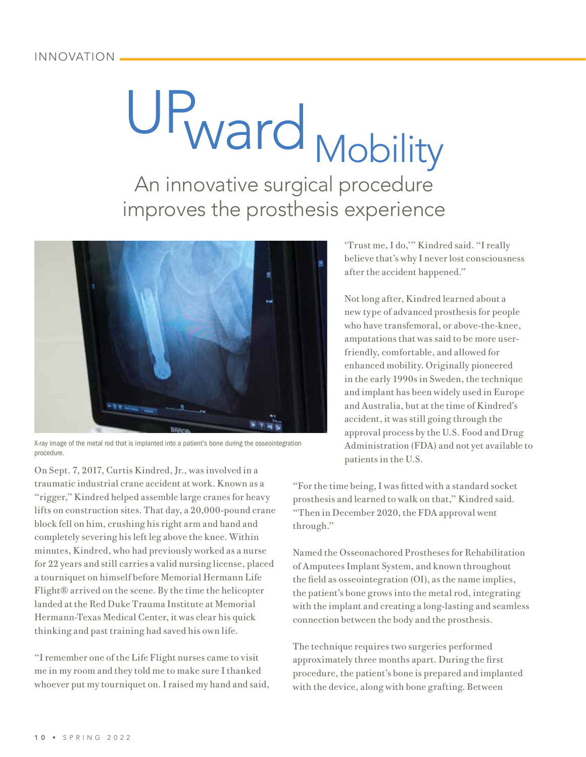### INNOVATION

## UPward Mobility An innovative surgical procedure improves the prosthesis experience



X-ray image of the metal rod that is implanted into a patient's bone during the osseointegration procedure.

On Sept. 7, 2017, Curtis Kindred, Jr., was involved in a traumatic industrial crane accident at work. Known as a "rigger," Kindred helped assemble large cranes for heavy lifts on construction sites. That day, a 20,000-pound crane block fell on him, crushing his right arm and hand and completely severing his left leg above the knee. Within minutes, Kindred, who had previously worked as a nurse for 22 years and still carries a valid nursing license, placed a tourniquet on himself before Memorial Hermann Life Flight® arrived on the scene. By the time the helicopter landed at the Red Duke Trauma Institute at Memorial Hermann-Texas Medical Center, it was clear his quick thinking and past training had saved his own life.

"I remember one of the Life Flight nurses came to visit me in my room and they told me to make sure I thanked whoever put my tourniquet on. I raised my hand and said, 'Trust me, I do,'" Kindred said. "I really believe that's why I never lost consciousness after the accident happened."

Not long after, Kindred learned about a new type of advanced prosthesis for people who have transfemoral, or above-the-knee, amputations that was said to be more userfriendly, comfortable, and allowed for enhanced mobility. Originally pioneered in the early 1990s in Sweden, the technique and implant has been widely used in Europe and Australia, but at the time of Kindred's accident, it was still going through the approval process by the U.S. Food and Drug Administration (FDA) and not yet available to patients in the U.S.

"For the time being, I was fitted with a standard socket prosthesis and learned to walk on that," Kindred said. "Then in December 2020, the FDA approval went through."

Named the Osseonachored Prostheses for Rehabilitation of Amputees Implant System, and known throughout the field as osseointegration (OI), as the name implies, the patient's bone grows into the metal rod, integrating with the implant and creating a long-lasting and seamless connection between the body and the prosthesis.

The technique requires two surgeries performed approximately three months apart. During the first procedure, the patient's bone is prepared and implanted with the device, along with bone grafting. Between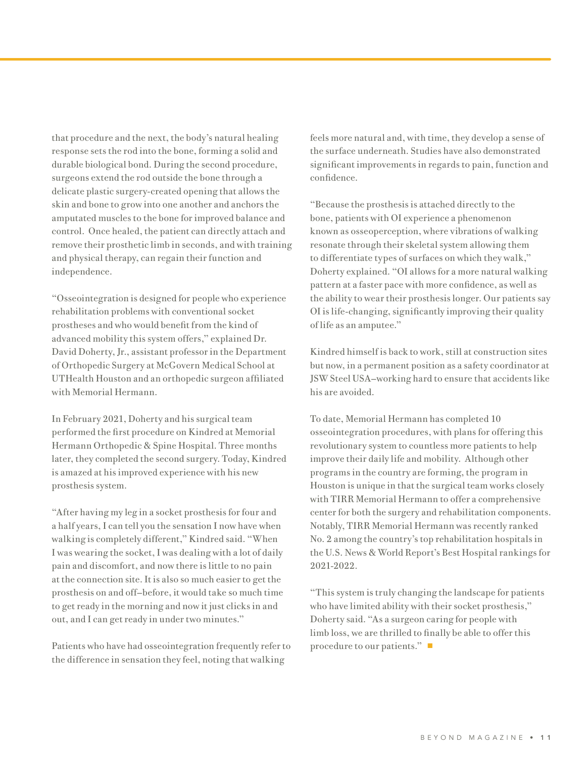that procedure and the next, the body's natural healing response sets the rod into the bone, forming a solid and durable biological bond. During the second procedure, surgeons extend the rod outside the bone through a delicate plastic surgery-created opening that allows the skin and bone to grow into one another and anchors the amputated muscles to the bone for improved balance and control. Once healed, the patient can directly attach and remove their prosthetic limb in seconds, and with training and physical therapy, can regain their function and independence.

"Osseointegration is designed for people who experience rehabilitation problems with conventional socket prostheses and who would benefit from the kind of advanced mobility this system offers," explained Dr. David Doherty, Jr., assistant professor in the Department of Orthopedic Surgery at McGovern Medical School at UTHealth Houston and an orthopedic surgeon affiliated with Memorial Hermann.

In February 2021, Doherty and his surgical team performed the first procedure on Kindred at Memorial Hermann Orthopedic & Spine Hospital. Three months later, they completed the second surgery. Today, Kindred is amazed at his improved experience with his new prosthesis system.

"After having my leg in a socket prosthesis for four and a half years, I can tell you the sensation I now have when walking is completely different," Kindred said. "When I was wearing the socket, I was dealing with a lot of daily pain and discomfort, and now there is little to no pain at the connection site. It is also so much easier to get the prosthesis on and off—before, it would take so much time to get ready in the morning and now it just clicks in and out, and I can get ready in under two minutes."

Patients who have had osseointegration frequently refer to the difference in sensation they feel, noting that walking

feels more natural and, with time, they develop a sense of the surface underneath. Studies have also demonstrated significant improvements in regards to pain, function and confidence.

"Because the prosthesis is attached directly to the bone, patients with OI experience a phenomenon known as osseoperception, where vibrations of walking resonate through their skeletal system allowing them to differentiate types of surfaces on which they walk," Doherty explained. "OI allows for a more natural walking pattern at a faster pace with more confidence, as well as the ability to wear their prosthesis longer. Our patients say OI is life-changing, significantly improving their quality of life as an amputee."

Kindred himself is back to work, still at construction sites but now, in a permanent position as a safety coordinator at JSW Steel USA—working hard to ensure that accidents like his are avoided.

To date, Memorial Hermann has completed 10 osseointegration procedures, with plans for offering this revolutionary system to countless more patients to help improve their daily life and mobility. Although other programs in the country are forming, the program in Houston is unique in that the surgical team works closely with TIRR Memorial Hermann to offer a comprehensive center for both the surgery and rehabilitation components. Notably, TIRR Memorial Hermann was recently ranked No. 2 among the country's top rehabilitation hospitals in the U.S. News & World Report's Best Hospital rankings for 2021-2022.

"This system is truly changing the landscape for patients who have limited ability with their socket prosthesis," Doherty said. "As a surgeon caring for people with limb loss, we are thrilled to finally be able to offer this procedure to our patients." $\blacksquare$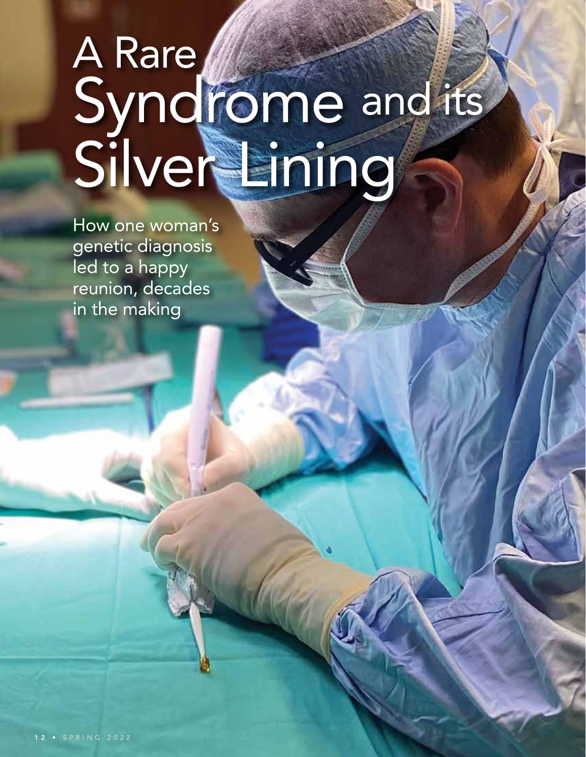# A Rare Syndrome and its Silver Lining

How one woman's genetic diagnosis led to a happy reunion, decades in the making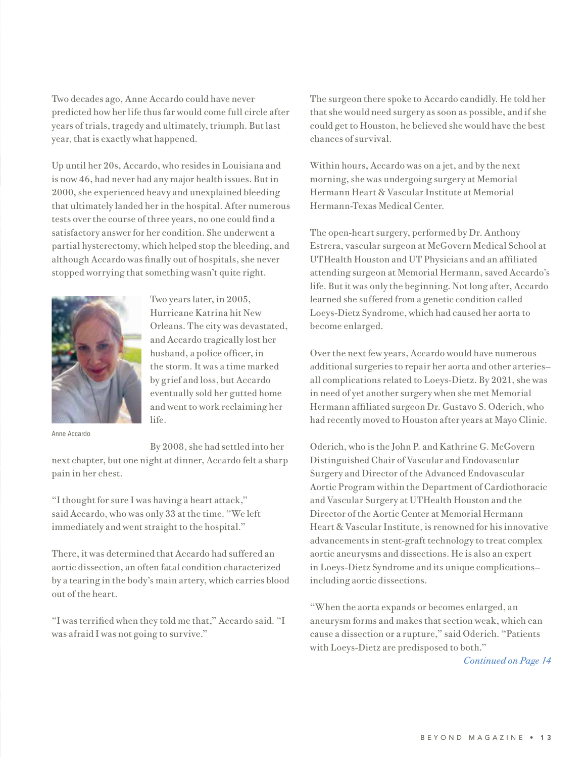Two decades ago, Anne Accardo could have never predicted how her life thus far would come full circle after years of trials, tragedy and ultimately, triumph. But last year, that is exactly what happened.

Up until her 20s, Accardo, who resides in Louisiana and is now 46, had never had any major health issues. But in 2000, she experienced heavy and unexplained bleeding that ultimately landed her in the hospital. After numerous tests over the course of three years, no one could find a satisfactory answer for her condition. She underwent a partial hysterectomy, which helped stop the bleeding, and although Accardo was finally out of hospitals, she never stopped worrying that something wasn't quite right.



Two years later, in 2005, Hurricane Katrina hit New Orleans. The city was devastated, and Accardo tragically lost her husband, a police officer, in the storm. It was a time marked by grief and loss, but Accardo eventually sold her gutted home and went to work reclaiming her life.

Anne Accardo

By 2008, she had settled into her next chapter, but one night at dinner, Accardo felt a sharp pain in her chest.

"I thought for sure I was having a heart attack," said Accardo, who was only 33 at the time. "We left immediately and went straight to the hospital."

There, it was determined that Accardo had suffered an aortic dissection, an often fatal condition characterized by a tearing in the body's main artery, which carries blood out of the heart.

"I was terrified when they told me that," Accardo said. "I was afraid I was not going to survive."

The surgeon there spoke to Accardo candidly. He told her that she would need surgery as soon as possible, and if she could get to Houston, he believed she would have the best chances of survival.

Within hours, Accardo was on a jet, and by the next morning, she was undergoing surgery at Memorial Hermann Heart & Vascular Institute at Memorial Hermann-Texas Medical Center.

The open-heart surgery, performed by Dr. Anthony Estrera, vascular surgeon at McGovern Medical School at UTHealth Houston and UT Physicians and an affiliated attending surgeon at Memorial Hermann, saved Accardo's life. But it was only the beginning. Not long after, Accardo learned she suffered from a genetic condition called Loeys-Dietz Syndrome, which had caused her aorta to become enlarged.

Over the next few years, Accardo would have numerous additional surgeries to repair her aorta and other arteries all complications related to Loeys-Dietz. By 2021, she was in need of yet another surgery when she met Memorial Hermann affiliated surgeon Dr. Gustavo S. Oderich, who had recently moved to Houston after years at Mayo Clinic.

Oderich, who is the John P. and Kathrine G. McGovern Distinguished Chair of Vascular and Endovascular Surgery and Director of the Advanced Endovascular Aortic Program within the Department of Cardiothoracic and Vascular Surgery at UTHealth Houston and the Director of the Aortic Center at Memorial Hermann Heart & Vascular Institute, is renowned for his innovative advancements in stent-graft technology to treat complex aortic aneurysms and dissections. He is also an expert in Loeys-Dietz Syndrome and its unique complications including aortic dissections.

"When the aorta expands or becomes enlarged, an aneurysm forms and makes that section weak, which can cause a dissection or a rupture," said Oderich. "Patients with Loeys-Dietz are predisposed to both."

*Continued on Page 14*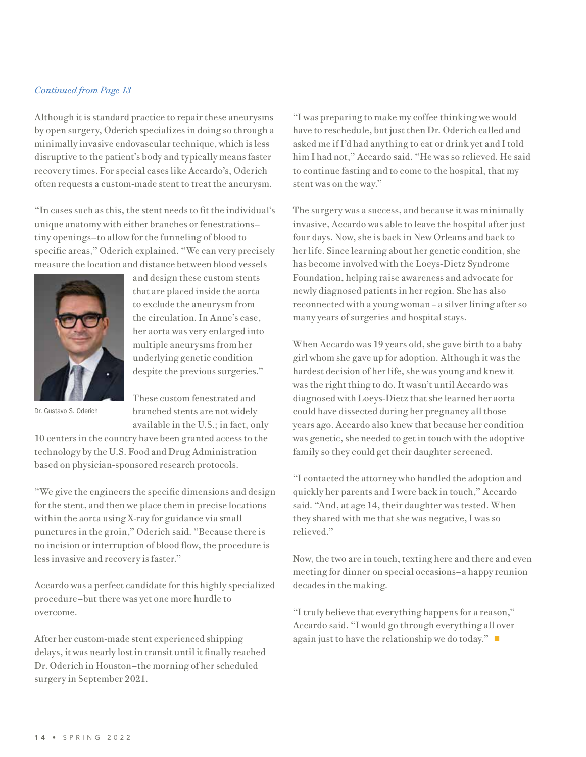### *Continued from Page 13*

Although it is standard practice to repair these aneurysms by open surgery, Oderich specializes in doing so through a minimally invasive endovascular technique, which is less disruptive to the patient's body and typically means faster recovery times. For special cases like Accardo's, Oderich often requests a custom-made stent to treat the aneurysm.

"In cases such as this, the stent needs to fit the individual's unique anatomy with either branches or fenestrations tiny openings—to allow for the funneling of blood to specific areas," Oderich explained. "We can very precisely measure the location and distance between blood vessels



and design these custom stents that are placed inside the aorta to exclude the aneurysm from the circulation. In Anne's case, her aorta was very enlarged into multiple aneurysms from her underlying genetic condition despite the previous surgeries."

Dr. Gustavo S. Oderich

These custom fenestrated and branched stents are not widely available in the U.S.; in fact, only

10 centers in the country have been granted access to the technology by the U.S. Food and Drug Administration based on physician-sponsored research protocols.

"We give the engineers the specific dimensions and design for the stent, and then we place them in precise locations within the aorta using X-ray for guidance via small punctures in the groin," Oderich said. "Because there is no incision or interruption of blood flow, the procedure is less invasive and recovery is faster."

Accardo was a perfect candidate for this highly specialized procedure—but there was yet one more hurdle to overcome.

After her custom-made stent experienced shipping delays, it was nearly lost in transit until it finally reached Dr. Oderich in Houston—the morning of her scheduled surgery in September 2021.

"I was preparing to make my coffee thinking we would have to reschedule, but just then Dr. Oderich called and asked me if I'd had anything to eat or drink yet and I told him I had not," Accardo said. "He was so relieved. He said to continue fasting and to come to the hospital, that my stent was on the way."

The surgery was a success, and because it was minimally invasive, Accardo was able to leave the hospital after just four days. Now, she is back in New Orleans and back to her life. Since learning about her genetic condition, she has become involved with the Loeys-Dietz Syndrome Foundation, helping raise awareness and advocate for newly diagnosed patients in her region. She has also reconnected with a young woman – a silver lining after so many years of surgeries and hospital stays.

When Accardo was 19 years old, she gave birth to a baby girl whom she gave up for adoption. Although it was the hardest decision of her life, she was young and knew it was the right thing to do. It wasn't until Accardo was diagnosed with Loeys-Dietz that she learned her aorta could have dissected during her pregnancy all those years ago. Accardo also knew that because her condition was genetic, she needed to get in touch with the adoptive family so they could get their daughter screened.

"I contacted the attorney who handled the adoption and quickly her parents and I were back in touch," Accardo said. "And, at age 14, their daughter was tested. When they shared with me that she was negative, I was so relieved."

Now, the two are in touch, texting here and there and even meeting for dinner on special occasions—a happy reunion decades in the making.

"I truly believe that everything happens for a reason," Accardo said. "I would go through everything all over again just to have the relationship we do today."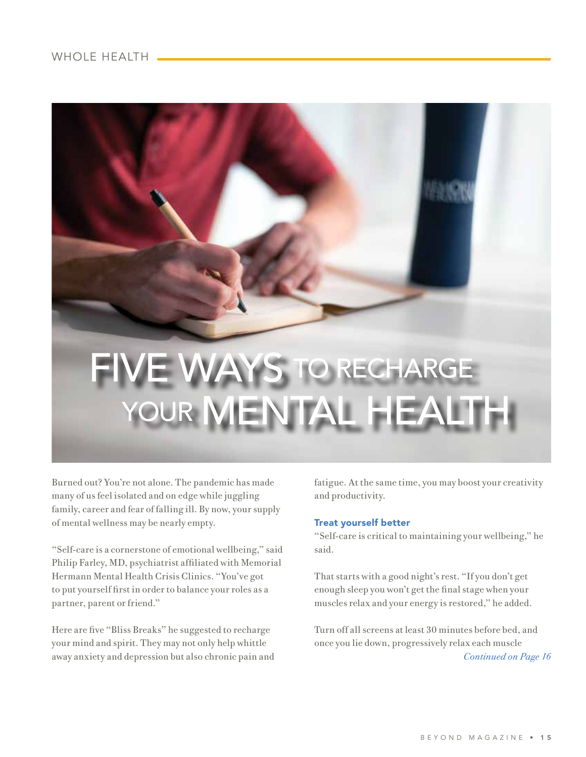

Burned out? You're not alone. The pandemic has made many of us feel isolated and on edge while juggling family, career and fear of falling ill. By now, your supply of mental wellness may be nearly empty.

"Self-care is a cornerstone of emotional wellbeing," said Philip Farley, MD, psychiatrist affiliated with Memorial Hermann Mental Health Crisis Clinics. "You've got to put yourself first in order to balance your roles as a partner, parent or friend."

Here are five "Bliss Breaks" he suggested to recharge your mind and spirit. They may not only help whittle away anxiety and depression but also chronic pain and fatigue. At the same time, you may boost your creativity and productivity.

### Treat yourself better

"Self-care is critical to maintaining your wellbeing," he said.

That starts with a good night's rest. "If you don't get enough sleep you won't get the final stage when your muscles relax and your energy is restored," he added.

Turn off all screens at least 30 minutes before bed, and once you lie down, progressively relax each muscle *Continued on Page 16*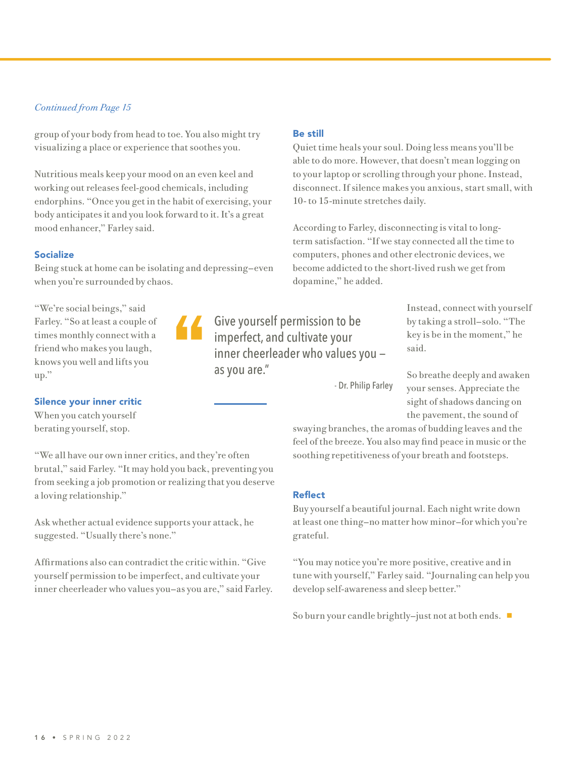### *Continued from Page 15*

group of your body from head to toe. You also might try visualizing a place or experience that soothes you.

Nutritious meals keep your mood on an even keel and working out releases feel-good chemicals, including endorphins. "Once you get in the habit of exercising, your body anticipates it and you look forward to it. It's a great mood enhancer," Farley said.

### Socialize

Being stuck at home can be isolating and depressing—even when you're surrounded by chaos.

"

"We're social beings," said Farley. "So at least a couple of times monthly connect with a friend who makes you laugh, knows you well and lifts you up."

### Silence your inner critic

When you catch yourself berating yourself, stop.

"We all have our own inner critics, and they're often brutal," said Farley. "It may hold you back, preventing you from seeking a job promotion or realizing that you deserve a loving relationship."

Ask whether actual evidence supports your attack, he suggested. "Usually there's none."

Affirmations also can contradict the critic within. "Give yourself permission to be imperfect, and cultivate your inner cheerleader who values you—as you are," said Farley.

### Be still

Quiet time heals your soul. Doing less means you'll be able to do more. However, that doesn't mean logging on to your laptop or scrolling through your phone. Instead, disconnect. If silence makes you anxious, start small, with 10- to 15-minute stretches daily.

According to Farley, disconnecting is vital to longterm satisfaction. "If we stay connected all the time to computers, phones and other electronic devices, we become addicted to the short-lived rush we get from dopamine," he added.

Give yourself permission to be imperfect, and cultivate your inner cheerleader who values you as you are."

Instead, connect with yourself by taking a stroll—solo. "The key is be in the moment," he said.

- Dr. Philip Farley

So breathe deeply and awaken your senses. Appreciate the sight of shadows dancing on the pavement, the sound of

swaying branches, the aromas of budding leaves and the feel of the breeze. You also may find peace in music or the soothing repetitiveness of your breath and footsteps.

### Reflect

Buy yourself a beautiful journal. Each night write down at least one thing—no matter how minor—for which you're grateful.

"You may notice you're more positive, creative and in tune with yourself," Farley said. "Journaling can help you develop self-awareness and sleep better."

So burn your candle brightly-just not at both ends.  $\blacksquare$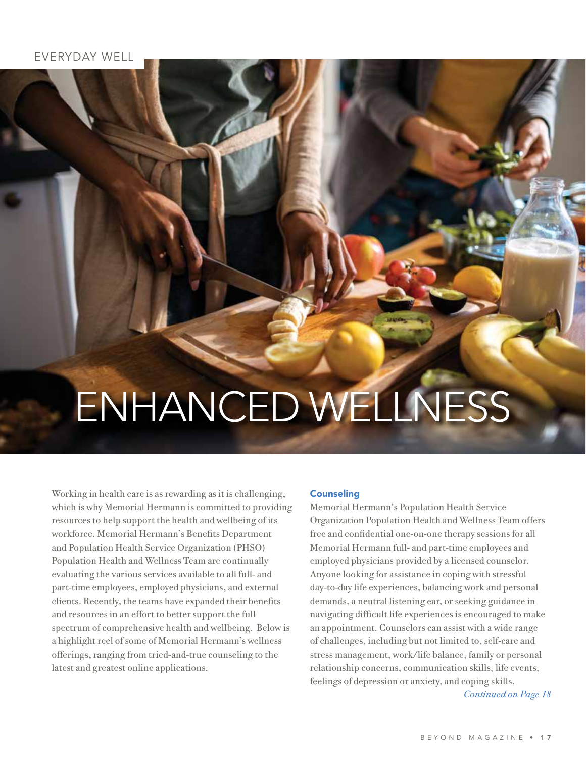# ENHANCED WELLNESS

Working in health care is as rewarding as it is challenging, which is why Memorial Hermann is committed to providing resources to help support the health and wellbeing of its workforce. Memorial Hermann's Benefits Department and Population Health Service Organization (PHSO) Population Health and Wellness Team are continually evaluating the various services available to all full- and part-time employees, employed physicians, and external clients. Recently, the teams have expanded their benefits and resources in an effort to better support the full spectrum of comprehensive health and wellbeing. Below is a highlight reel of some of Memorial Hermann's wellness offerings, ranging from tried-and-true counseling to the latest and greatest online applications.

### **Counseling**

Memorial Hermann's Population Health Service Organization Population Health and Wellness Team offers free and confidential one-on-one therapy sessions for all Memorial Hermann full- and part-time employees and employed physicians provided by a licensed counselor. Anyone looking for assistance in coping with stressful day-to-day life experiences, balancing work and personal demands, a neutral listening ear, or seeking guidance in navigating difficult life experiences is encouraged to make an appointment. Counselors can assist with a wide range of challenges, including but not limited to, self-care and stress management, work/life balance, family or personal relationship concerns, communication skills, life events, feelings of depression or anxiety, and coping skills.

*Continued on Page 18*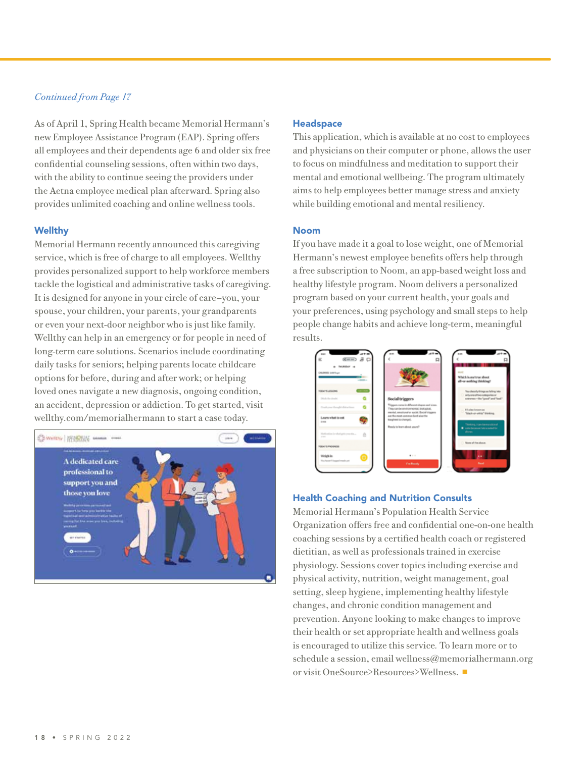### *Continued from Page 17*

As of April 1, Spring Health became Memorial Hermann's new Employee Assistance Program (EAP). Spring offers all employees and their dependents age 6 and older six free confidential counseling sessions, often within two days, with the ability to continue seeing the providers under the Aetna employee medical plan afterward. Spring also provides unlimited coaching and online wellness tools.

### **Wellthy**

Memorial Hermann recently announced this caregiving service, which is free of charge to all employees. Wellthy provides personalized support to help workforce members tackle the logistical and administrative tasks of caregiving. It is designed for anyone in your circle of care—you, your spouse, your children, your parents, your grandparents or even your next-door neighbor who is just like family. Wellthy can help in an emergency or for people in need of long-term care solutions. Scenarios include coordinating daily tasks for seniors; helping parents locate childcare options for before, during and after work; or helping loved ones navigate a new diagnosis, ongoing condition, an accident, depression or addiction. To get started, visit wellthy.com/memorialhermann to start a case today.



#### **Headspace**

This application, which is available at no cost to employees and physicians on their computer or phone, allows the user to focus on mindfulness and meditation to support their mental and emotional wellbeing. The program ultimately aims to help employees better manage stress and anxiety while building emotional and mental resiliency.

### Noom

If you have made it a goal to lose weight, one of Memorial Hermann's newest employee benefits offers help through a free subscription to Noom, an app-based weight loss and healthy lifestyle program. Noom delivers a personalized program based on your current health, your goals and your preferences, using psychology and small steps to help people change habits and achieve long-term, meaningful results.



### Health Coaching and Nutrition Consults

Memorial Hermann's Population Health Service Organization offers free and confidential one-on-one health coaching sessions by a certified health coach or registered dietitian, as well as professionals trained in exercise physiology. Sessions cover topics including exercise and physical activity, nutrition, weight management, goal setting, sleep hygiene, implementing healthy lifestyle changes, and chronic condition management and prevention. Anyone looking to make changes to improve their health or set appropriate health and wellness goals is encouraged to utilize this service*.* To learn more or to schedule a session, email wellness@memorialhermann.org or visit OneSource>Resources>Wellness. ■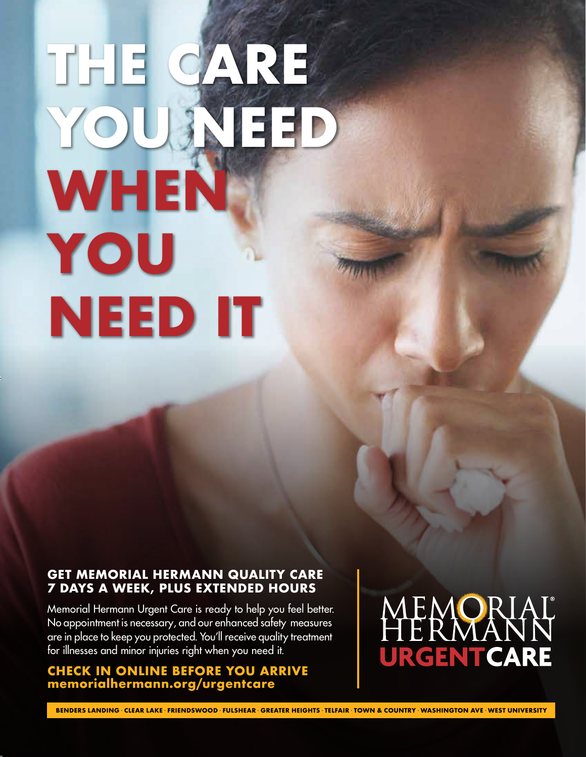# **THE CARE YOU NEED WHEN YOU NEED IT**

### **GET MEMORIAL HERMANN QUALITY CARE 7 DAYS A WEEK, PLUS EXTENDED HOURS**

Memorial Hermann Urgent Care is ready to help you feel better. No appointment is necessary, and our enhanced safety measures are in place to keep you protected. You'll receive quality treatment for illnesses and minor injuries right when you need it.

### **CHECK IN ONLINE BEFORE YOU ARRIVE memorialhermann.org/urgentcare**

### MEMORIAL URGENTCARE

**BENDERS LANDING** · **CLEAR LAKE** · **FRIENDSWOOD** · **FULSHEAR** · **GREATER HEIGHTS** · **TELFAIR** · **TOWN & COUNTRY** · **WASHINGTON AVE** · **WEST UNIVERSITY**